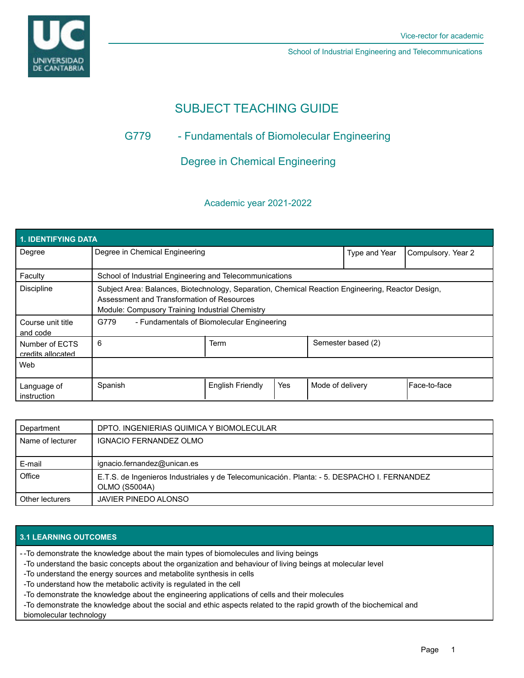

School of Industrial Engineering and Telecommunications

# SUBJECT TEACHING GUIDE

## G779 - Fundamentals of Biomolecular Engineering

Degree in Chemical Engineering

## Academic year 2021-2022

| <b>1. IDENTIFYING DATA</b>          |                                                                                                                                                                                                    |                         |     |                  |                    |                    |  |  |  |
|-------------------------------------|----------------------------------------------------------------------------------------------------------------------------------------------------------------------------------------------------|-------------------------|-----|------------------|--------------------|--------------------|--|--|--|
| Degree                              | Degree in Chemical Engineering                                                                                                                                                                     |                         |     |                  | Type and Year      | Compulsory. Year 2 |  |  |  |
| Faculty                             | School of Industrial Engineering and Telecommunications                                                                                                                                            |                         |     |                  |                    |                    |  |  |  |
| <b>Discipline</b>                   | Subject Area: Balances, Biotechnology, Separation, Chemical Reaction Engineering, Reactor Design,<br>Assessment and Transformation of Resources<br>Module: Compusory Training Industrial Chemistry |                         |     |                  |                    |                    |  |  |  |
| Course unit title<br>and code       | G779<br>- Fundamentals of Biomolecular Engineering                                                                                                                                                 |                         |     |                  |                    |                    |  |  |  |
| Number of ECTS<br>credits allocated | 6                                                                                                                                                                                                  | Term                    |     |                  | Semester based (2) |                    |  |  |  |
| Web                                 |                                                                                                                                                                                                    |                         |     |                  |                    |                    |  |  |  |
| Language of<br>instruction          | Spanish                                                                                                                                                                                            | <b>English Friendly</b> | Yes | Mode of delivery |                    | l Face-to-face     |  |  |  |

| Department       | DPTO. INGENIERIAS QUIMICA Y BIOMOLECULAR                                                                     |
|------------------|--------------------------------------------------------------------------------------------------------------|
| Name of lecturer | <b>IGNACIO FERNANDEZ OLMO</b>                                                                                |
|                  |                                                                                                              |
| E-mail           | ignacio.fernandez@unican.es                                                                                  |
| Office           | E.T.S. de Ingenieros Industriales y de Telecomunicación. Planta: - 5. DESPACHO I. FERNANDEZ<br>OLMO (S5004A) |
| Other lecturers  | JAVIER PINEDO ALONSO                                                                                         |

## **3.1 LEARNING OUTCOMES**

-To demonstrate the knowledge about the main types of biomolecules and living beings -

- -To understand the basic concepts about the organization and behaviour of living beings at molecular level
- -To understand the energy sources and metabolite synthesis in cells
- -To understand how the metabolic activity is regulated in the cell
- -To demonstrate the knowledge about the engineering applications of cells and their molecules
- -To demonstrate the knowledge about the social and ethic aspects related to the rapid growth of the biochemical and

biomolecular technology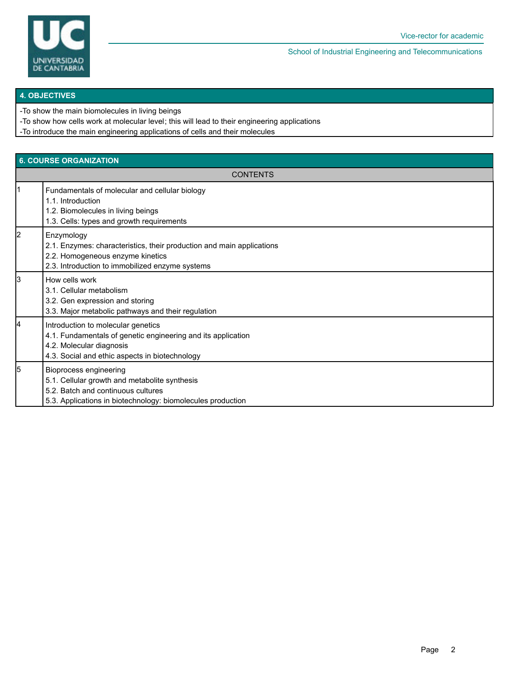

School of Industrial Engineering and Telecommunications

#### **4. OBJECTIVES**

-To show the main biomolecules in living beings

-To show how cells work at molecular level; this will lead to their engineering applications

-To introduce the main engineering applications of cells and their molecules

| <b>6. COURSE ORGANIZATION</b> |                                                                                                                                                                                     |  |  |  |
|-------------------------------|-------------------------------------------------------------------------------------------------------------------------------------------------------------------------------------|--|--|--|
| <b>CONTENTS</b>               |                                                                                                                                                                                     |  |  |  |
| l1                            | Fundamentals of molecular and cellular biology<br>1.1. Introduction<br>1.2. Biomolecules in living beings<br>1.3. Cells: types and growth requirements                              |  |  |  |
| l2                            | Enzymology<br>2.1. Enzymes: characteristics, their production and main applications<br>2.2. Homogeneous enzyme kinetics<br>2.3. Introduction to immobilized enzyme systems          |  |  |  |
| Iз                            | How cells work<br>3.1. Cellular metabolism<br>3.2. Gen expression and storing<br>3.3. Major metabolic pathways and their regulation                                                 |  |  |  |
| 4                             | Introduction to molecular genetics<br>4.1. Fundamentals of genetic engineering and its application<br>4.2. Molecular diagnosis<br>4.3. Social and ethic aspects in biotechnology    |  |  |  |
| l5                            | <b>Bioprocess engineering</b><br>5.1. Cellular growth and metabolite synthesis<br>5.2. Batch and continuous cultures<br>5.3. Applications in biotechnology: biomolecules production |  |  |  |